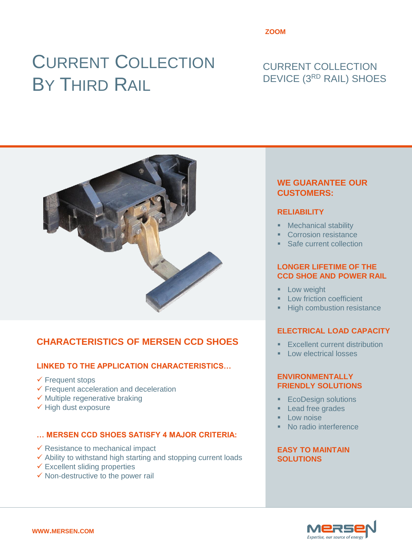# CURRENT COLLECTION BY THIRD RAIL

# CURRENT COLLECTION DEVICE (3RD RAIL) SHOES



# **CHARACTERISTICS OF MERSEN CCD SHOES**

#### **LINKED TO THE APPLICATION CHARACTERISTICS…**

- $\checkmark$  Frequent stops
- $\checkmark$  Frequent acceleration and deceleration
- $\checkmark$  Multiple regenerative braking
- $\checkmark$  High dust exposure

#### **… MERSEN CCD SHOES SATISFY 4 MAJOR CRITERIA:**

- $\checkmark$  Resistance to mechanical impact
- $\checkmark$  Ability to withstand high starting and stopping current loads
- $\checkmark$  Excellent sliding properties
- $\checkmark$  Non-destructive to the power rail

#### **WE GUARANTEE OUR CUSTOMERS:**

#### **RELIABILITY**

- **Mechanical stability**
- Corrosion resistance
- Safe current collection

#### **LONGER LIFETIME OF THE CCD SHOE AND POWER RAIL**

- **Low weight**
- **Low friction coefficient**
- High combustion resistance

#### **ELECTRICAL LOAD CAPACITY**

- Excellent current distribution
- Low electrical losses

#### **ENVIRONMENTALLY FRIENDLY SOLUTIONS**

- **EcoDesign solutions**
- **Lead free grades**
- **Low noise**
- No radio interference

**EASY TO MAINTAIN SOLUTIONS**

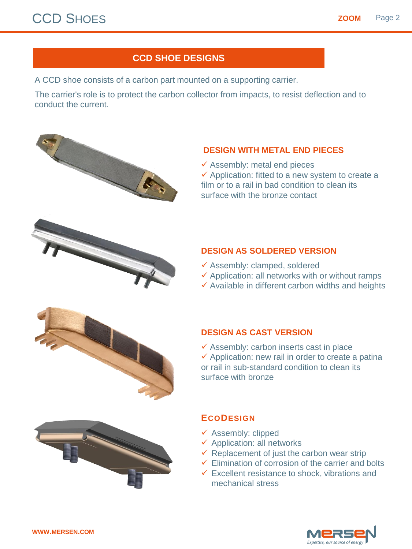# **CCD SHOE DESIGNS**

A CCD shoe consists of a carbon part mounted on a supporting carrier.

The carrier's role is to protect the carbon collector from impacts, to resist deflection and to conduct the current.



## **DESIGN WITH METAL END PIECES**

 $\checkmark$  Assembly: metal end pieces  $\checkmark$  Application: fitted to a new system to create a film or to a rail in bad condition to clean its surface with the bronze contact

## **DESIGN AS SOLDERED VERSION**

- Assembly: clamped, soldered
- $\checkmark$  Application: all networks with or without ramps
- $\checkmark$  Available in different carbon widths and heights

## **DESIGN AS CAST VERSION**

 $\checkmark$  Assembly: carbon inserts cast in place  $\checkmark$  Application: new rail in order to create a patina or rail in sub-standard condition to clean its surface with bronze

# **ECODESIGN**

- $\checkmark$  Assembly: clipped
- $\checkmark$  Application: all networks
- $\checkmark$  Replacement of just the carbon wear strip
- $\checkmark$  Elimination of corrosion of the carrier and bolts
- $\checkmark$  Excellent resistance to shock, vibrations and mechanical stress

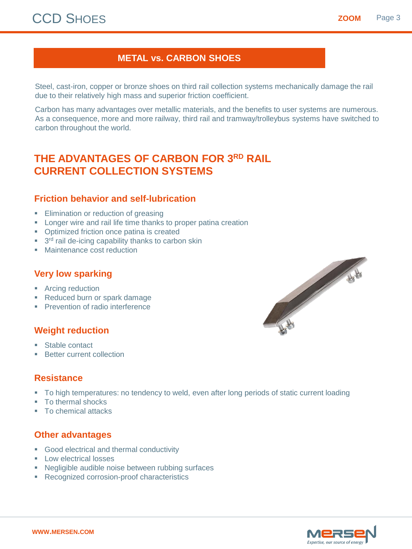# CCD SHOES **ZOOM**

# **METAL vs. CARBON SHOES**

Steel, cast-iron, copper or bronze shoes on third rail collection systems mechanically damage the rail due to their relatively high mass and superior friction coefficient.

Carbon has many advantages over metallic materials, and the benefits to user systems are numerous. As a consequence, more and more railway, third rail and tramway/trolleybus systems have switched to carbon throughout the world.

# **THE ADVANTAGES OF CARBON FOR 3RD RAIL CURRENT COLLECTION SYSTEMS**

# **Friction behavior and self-lubrication**

- **Elimination or reduction of greasing**
- **-** Longer wire and rail life time thanks to proper patina creation
- **•** Optimized friction once patina is created
- <sup>3rd</sup> rail de-icing capability thanks to carbon skin
- **Maintenance cost reduction**

# **Very low sparking**

- **Arcing reduction**
- Reduced burn or spark damage
- **Prevention of radio interference**

# **Weight reduction**

- Stable contact
- **Better current collection**

# **Resistance**

- To high temperatures: no tendency to weld, even after long periods of static current loading
- To thermal shocks
- To chemical attacks

# **Other advantages**

- Good electrical and thermal conductivity
- **Low electrical losses**
- **Negligible audible noise between rubbing surfaces**
- **Recognized corrosion-proof characteristics**